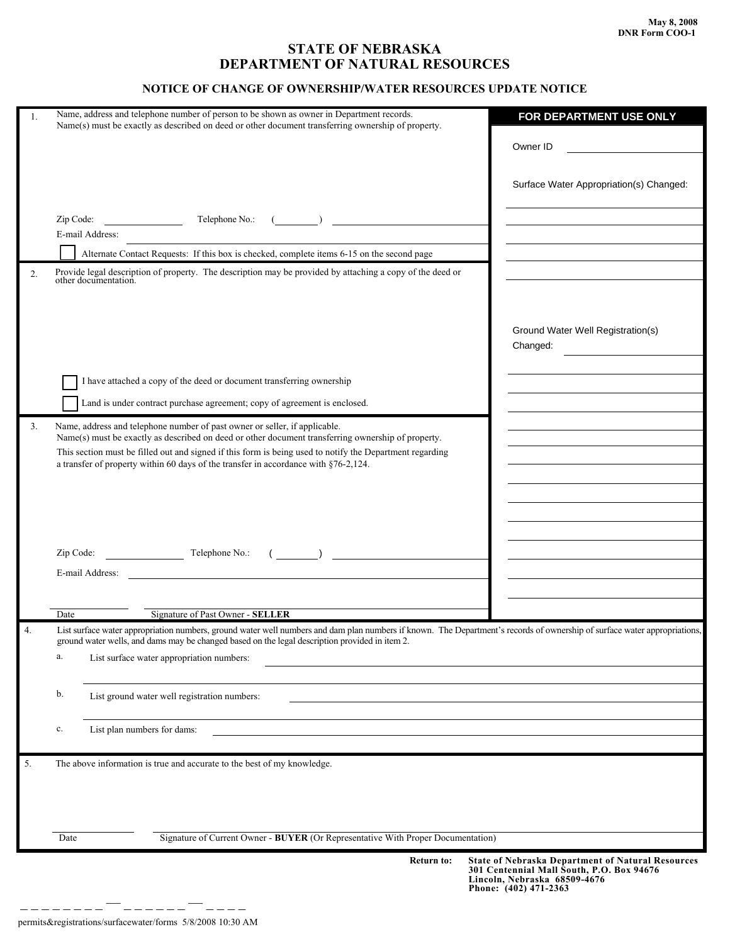## **STATE OF NEBRASKA DEPARTMENT OF NATURAL RESOURCES**

## **NOTICE OF CHANGE OF OWNERSHIP/WATER RESOURCES UPDATE NOTICE**

| 1. | Name, address and telephone number of person to be shown as owner in Department records.<br>Name(s) must be exactly as described on deed or other document transferring ownership of property.                 | FOR DEPARTMENT USE ONLY                                                                            |
|----|----------------------------------------------------------------------------------------------------------------------------------------------------------------------------------------------------------------|----------------------------------------------------------------------------------------------------|
|    |                                                                                                                                                                                                                | Owner ID                                                                                           |
|    |                                                                                                                                                                                                                |                                                                                                    |
|    |                                                                                                                                                                                                                | Surface Water Appropriation(s) Changed:                                                            |
|    | Telephone No.:<br>Zip Code:                                                                                                                                                                                    |                                                                                                    |
|    | E-mail Address:                                                                                                                                                                                                |                                                                                                    |
|    | Alternate Contact Requests: If this box is checked, complete items 6-15 on the second page                                                                                                                     |                                                                                                    |
| 2. | Provide legal description of property. The description may be provided by attaching a copy of the deed or                                                                                                      |                                                                                                    |
|    | other documentation.                                                                                                                                                                                           |                                                                                                    |
|    |                                                                                                                                                                                                                |                                                                                                    |
|    |                                                                                                                                                                                                                |                                                                                                    |
|    |                                                                                                                                                                                                                | Ground Water Well Registration(s)<br>Changed:                                                      |
|    |                                                                                                                                                                                                                |                                                                                                    |
|    | I have attached a copy of the deed or document transferring ownership                                                                                                                                          |                                                                                                    |
|    |                                                                                                                                                                                                                |                                                                                                    |
|    | Land is under contract purchase agreement; copy of agreement is enclosed.                                                                                                                                      |                                                                                                    |
| 3. | Name, address and telephone number of past owner or seller, if applicable.                                                                                                                                     |                                                                                                    |
|    | Name(s) must be exactly as described on deed or other document transferring ownership of property.<br>This section must be filled out and signed if this form is being used to notify the Department regarding |                                                                                                    |
|    | a transfer of property within 60 days of the transfer in accordance with §76-2,124.                                                                                                                            |                                                                                                    |
|    |                                                                                                                                                                                                                |                                                                                                    |
|    |                                                                                                                                                                                                                |                                                                                                    |
|    |                                                                                                                                                                                                                |                                                                                                    |
|    |                                                                                                                                                                                                                |                                                                                                    |
|    | Zip Code:                                                                                                                                                                                                      |                                                                                                    |
|    | <u> 1980 - Johann Barbara, martin d</u><br>E-mail Address:                                                                                                                                                     |                                                                                                    |
|    |                                                                                                                                                                                                                |                                                                                                    |
|    | Signature of Past Owner - SELLER<br>Date                                                                                                                                                                       |                                                                                                    |
| 4. | List surface water appropriation numbers, ground water well numbers and dam plan numbers if known. The Department's records of ownership of surface water appropriations,                                      |                                                                                                    |
|    | ground water wells, and dams may be changed based on the legal description provided in item 2.                                                                                                                 |                                                                                                    |
|    | a.<br>List surface water appropriation numbers:                                                                                                                                                                |                                                                                                    |
|    |                                                                                                                                                                                                                |                                                                                                    |
|    | b.<br>List ground water well registration numbers:                                                                                                                                                             |                                                                                                    |
|    |                                                                                                                                                                                                                |                                                                                                    |
|    | List plan numbers for dams:<br>c.                                                                                                                                                                              |                                                                                                    |
|    |                                                                                                                                                                                                                |                                                                                                    |
| 5. | The above information is true and accurate to the best of my knowledge.                                                                                                                                        |                                                                                                    |
|    |                                                                                                                                                                                                                |                                                                                                    |
|    |                                                                                                                                                                                                                |                                                                                                    |
|    |                                                                                                                                                                                                                |                                                                                                    |
|    | Signature of Current Owner - BUYER (Or Representative With Proper Documentation)<br>Date                                                                                                                       |                                                                                                    |
|    | <b>Return to:</b>                                                                                                                                                                                              | <b>State of Nebraska Department of Natural Resources</b>                                           |
|    |                                                                                                                                                                                                                | 301 Centennial Mall South, P.O. Box 94676<br>Lincoln, Nebraska 68509-4676<br>Phone: (402) 471-2363 |